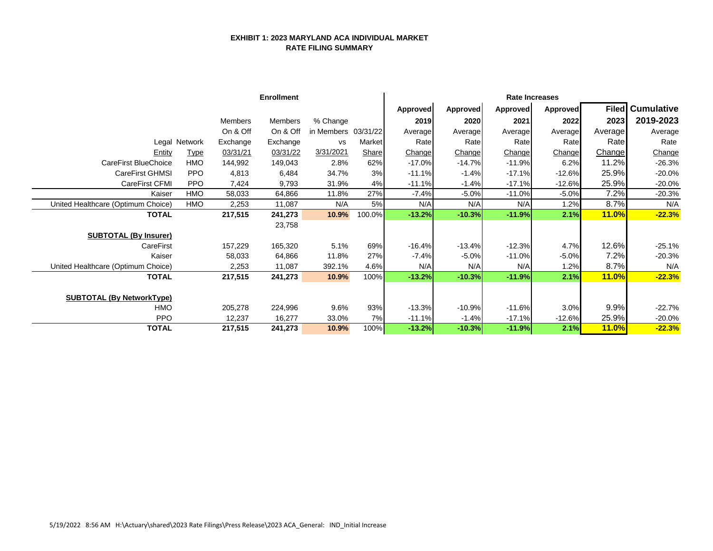## **EXHIBIT 1: 2023 MARYLAND ACA INDIVIDUAL MARKET RATE FILING SUMMARY**

|                                    |               |          | <b>Enrollment</b> |                     |              |          |                 |                 | <b>Rate Increases</b> |              |                         |
|------------------------------------|---------------|----------|-------------------|---------------------|--------------|----------|-----------------|-----------------|-----------------------|--------------|-------------------------|
|                                    |               |          |                   |                     |              | Approved | <b>Approved</b> | <b>Approved</b> | Approved              |              | <b>Filed</b> Cumulative |
|                                    |               | Members  | Members           | % Change            |              | 2019     | 2020            | 2021            | 2022                  | 2023         | 2019-2023               |
|                                    |               | On & Off | On & Off          | in Members 03/31/22 |              | Average  | Average         | Average         | Average               | Average      | Average                 |
|                                    | Legal Network | Exchange | Exchange          | <b>VS</b>           | Market       | Rate     | Rate            | Rate            | Rate                  | Rate         | Rate                    |
| Entity                             | <b>Type</b>   | 03/31/21 | 03/31/22          | 3/31/2021           | <b>Share</b> | Change   | Change          | Change          | Change                | Change       | Change                  |
| <b>CareFirst BlueChoice</b>        | <b>HMO</b>    | 144,992  | 149,043           | 2.8%                | 62%          | $-17.0%$ | $-14.7%$        | $-11.9%$        | 6.2%                  | 11.2%        | $-26.3%$                |
| CareFirst GHMSI                    | <b>PPO</b>    | 4,813    | 6,484             | 34.7%               | 3%           | $-11.1%$ | $-1.4%$         | $-17.1%$        | $-12.6%$              | 25.9%        | $-20.0%$                |
| CareFirst CFMI                     | <b>PPO</b>    | 7,424    | 9,793             | 31.9%               | 4%           | $-11.1%$ | $-1.4%$         | $-17.1%$        | $-12.6%$              | 25.9%        | $-20.0%$                |
| Kaiser                             | <b>HMO</b>    | 58,033   | 64,866            | 11.8%               | 27%          | $-7.4%$  | $-5.0%$         | $-11.0%$        | $-5.0%$               | 7.2%         | $-20.3%$                |
| United Healthcare (Optimum Choice) | <b>HMO</b>    | 2,253    | 11,087            | N/A                 | 5%           | N/A      | N/A             | N/A             | 1.2%                  | 8.7%         | N/A                     |
| <b>TOTAL</b>                       |               | 217,515  | 241,273           | 10.9%               | 100.0%       | $-13.2%$ | $-10.3%$        | $-11.9%$        | 2.1%                  | <b>11.0%</b> | $-22.3%$                |
|                                    |               |          | 23,758            |                     |              |          |                 |                 |                       |              |                         |
| <b>SUBTOTAL (By Insurer)</b>       |               |          |                   |                     |              |          |                 |                 |                       |              |                         |
| CareFirst                          |               | 157,229  | 165,320           | 5.1%                | 69%          | $-16.4%$ | $-13.4%$        | $-12.3%$        | 4.7%                  | 12.6%        | $-25.1%$                |
| Kaiser                             |               | 58,033   | 64,866            | 11.8%               | 27%          | $-7.4%$  | $-5.0%$         | $-11.0%$        | $-5.0%$               | 7.2%         | $-20.3%$                |
| United Healthcare (Optimum Choice) |               | 2,253    | 11,087            | 392.1%              | 4.6%         | N/A      | N/A             | N/A             | 1.2%                  | 8.7%         | N/A                     |
| <b>TOTAL</b>                       |               | 217,515  | 241,273           | 10.9%               | 100%         | $-13.2%$ | $-10.3%$        | $-11.9%$        | 2.1%                  | <b>11.0%</b> | $-22.3%$                |
|                                    |               |          |                   |                     |              |          |                 |                 |                       |              |                         |
| <b>SUBTOTAL (By NetworkType)</b>   |               |          |                   |                     |              |          |                 |                 |                       |              |                         |
| HMO                                |               | 205,278  | 224,996           | 9.6%                | 93%          | $-13.3%$ | $-10.9%$        | $-11.6%$        | 3.0%                  | 9.9%         | $-22.7%$                |
| <b>PPO</b>                         |               | 12,237   | 16,277            | 33.0%               | 7%           | $-11.1%$ | $-1.4%$         | $-17.1%$        | $-12.6%$              | 25.9%        | $-20.0%$                |
| <b>TOTAL</b>                       |               | 217,515  | 241,273           | 10.9%               | 100%         | $-13.2%$ | $-10.3%$        | $-11.9%$        | 2.1%                  | <b>11.0%</b> | $-22.3%$                |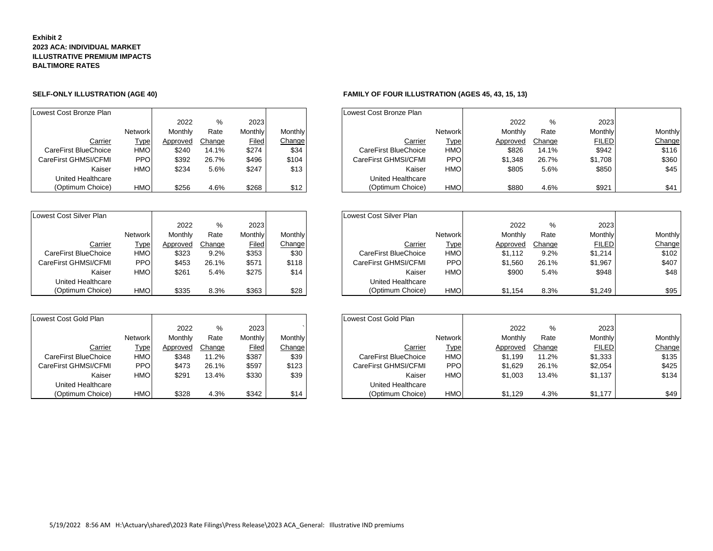### **Exhibit 2 2023 ACA: INDIVIDUAL MARKET ILLUSTRATIVE PREMIUM IMPACTS BALTIMORE RATES**

| Lowest Cost Bronze Plan |                |          |        |         |         | Lowest Cost Bronze Plan |
|-------------------------|----------------|----------|--------|---------|---------|-------------------------|
|                         |                | 2022     | $\%$   | 2023    |         |                         |
|                         | <b>Network</b> | Monthly  | Rate   | Monthly | Monthly |                         |
| Carrier                 | Type           | Approved | Change | Filed   | Change  | Carrie                  |
| CareFirst BlueChoice    | <b>HMO</b>     | \$240    | 14.1%  | \$274   | \$34    | CareFirst BlueChoic     |
| CareFirst GHMSI/CFMI    | <b>PPO</b>     | \$392    | 26.7%  | \$496   | \$104   | CareFirst GHMSI/CFM     |
| Kaiser                  | <b>HMO</b>     | \$234    | 5.6%   | \$247   | \$13    | Kaise                   |
| United Healthcare       |                |          |        |         |         | <b>United Healthcar</b> |
| (Optimum Choice)        | <b>HMO</b>     | \$256    | 4.6%   | \$268   | \$12    | (Optimum Choice         |

| Lowest Cost Silver Plan |                |          |         |         |                | Lowest Cost Silver Plan |
|-------------------------|----------------|----------|---------|---------|----------------|-------------------------|
|                         |                | 2022     | $\%$    | 2023    |                |                         |
|                         | <b>Network</b> | Monthly  | Rate    | Monthly | <b>Monthly</b> |                         |
| Carrier                 | Type           | Approved | Change  | Filed   | Change         | <u>Carı</u>             |
| CareFirst BlueChoice    | <b>HMO</b>     | \$323    | $9.2\%$ | \$353   | \$30           | CareFirst BlueCho       |
| CareFirst GHMSI/CFMI    | PPO.           | \$453    | 26.1%   | \$571   | \$118          | CareFirst GHMSI/CF      |
| Kaiser                  | <b>HMO</b>     | \$261    | 5.4%    | \$275   | \$14           | Kais                    |
| United Healthcare       |                |          |         |         |                | United Healthca         |
| (Optimum Choice)        | <b>HMO</b>     | \$335    | 8.3%    | \$363   | \$28           | (Optimum Choi           |

| Lowest Cost Gold Plan |                |          |        |         |                | Lowest Cost Gold Plan |
|-----------------------|----------------|----------|--------|---------|----------------|-----------------------|
|                       |                | 2022     | %      | 2023    |                |                       |
|                       | <b>Network</b> | Monthly  | Rate   | Monthly | <b>Monthly</b> |                       |
| Carrier               | Type           | Approved | Change | Filed   | Change         | <u>Car</u>            |
| CareFirst BlueChoice  | <b>HMO</b>     | \$348    | 11.2%  | \$387   | \$39           | CareFirst BlueCho     |
| CareFirst GHMSI/CFMI  | PPO.           | \$473    | 26.1%  | \$597   | \$123          | CareFirst GHMSI/C     |
| Kaiser                | <b>HMO</b>     | \$291    | 13.4%  | \$330   | \$39           | Kа                    |
| United Healthcare     |                |          |        |         |                | United Healtho        |
| (Optimum Choice)      | <b>HMO</b>     | \$328    | 4.3%   | \$342   | \$14           | (Optimum Cho          |

## **SELF-ONLY ILLUSTRATION (AGE 40) FAMILY OF FOUR ILLUSTRATION (AGES 45, 43, 15, 13)**

| owest Cost Bronze Plan |                |          |        |         |         | Lowest Cost Bronze Plan |                |          |        |                |                |
|------------------------|----------------|----------|--------|---------|---------|-------------------------|----------------|----------|--------|----------------|----------------|
|                        |                |          |        |         |         |                         |                |          |        |                |                |
|                        |                | 2022     | %      | 2023    |         |                         |                | 2022     | %      | 2023           |                |
|                        | <b>Network</b> | Monthly  | Rate   | Monthly | Monthly |                         | <b>Network</b> | Monthly  | Rate   | <b>Monthly</b> | <b>Monthly</b> |
| Carrier                | <u>Type</u>    | Approved | Change | Filed   | Change  | Carrier                 | <b>Type</b>    | Approved | Change | <b>FILED</b>   | Change         |
| CareFirst BlueChoice   | <b>HMO</b>     | \$240    | 14.1%  | \$274   | \$34    | CareFirst BlueChoice    | <b>HMO</b>     | \$826    | 14.1%  | \$942          | \$116          |
| CareFirst GHMSI/CFMI   | <b>PPO</b>     | \$392    | 26.7%  | \$496   | \$104   | CareFirst GHMSI/CFMI    | <b>PPO</b>     | \$1.348  | 26.7%  | \$1,708        | \$360          |
| Kaiser                 | <b>HMO</b>     | \$234    | 5.6%   | \$247   | \$13    | Kaiser                  | <b>HMO</b>     | \$805    | 5.6%   | \$850          | \$45           |
| United Healthcare      |                |          |        |         |         | United Healthcare       |                |          |        |                |                |
| (Optimum Choice)       | <b>HMO</b>     | \$256    | 4.6%   | \$268   | \$12    | (Optimum Choice)        | <b>HMO</b>     | \$880    | 4.6%   | \$921          | \$41           |

| west Cost Silver Plan |                |          |        |              |         | Lowest Cost Silver Plan |                |          |        |                |         |
|-----------------------|----------------|----------|--------|--------------|---------|-------------------------|----------------|----------|--------|----------------|---------|
|                       |                | 2022     | %      | 2023         |         |                         |                | 2022     | %      | 2023           |         |
|                       | <b>Network</b> | Monthly  | Rate   | Monthly      | Monthly |                         | <b>Network</b> | Monthly  | Rate   | <b>Monthly</b> | Monthly |
| Carrier               | <u>Type</u>    | Approved | Change | <b>Filed</b> | Change  | Carrier                 | <b>Type</b>    | Approved | Change | <b>FILED</b>   | Change  |
| CareFirst BlueChoice  | <b>HMO</b>     | \$323    | 9.2%   | \$353        | \$30    | CareFirst BlueChoice    | <b>HMO</b>     | \$1.112  | 9.2%   | \$1,214        | \$102   |
| CareFirst GHMSI/CFMI  | <b>PPO</b>     | \$453    | 26.1%  | \$571        | \$118   | CareFirst GHMSI/CFMI    | <b>PPO</b>     | \$1,560  | 26.1%  | \$1,967        | \$407   |
| Kaiser                | <b>HMO</b>     | \$261    | 5.4%   | \$275        | \$14    | Kaiser                  | <b>HMO</b>     | \$900    | 5.4%   | \$948          | \$48    |
| United Healthcare     |                |          |        |              |         | United Healthcare       |                |          |        |                |         |
| (Optimum Choice)      | <b>HMO</b>     | \$335    | 8.3%   | \$363        | \$28    | (Optimum Choice)        | HMO            | \$1,154  | 8.3%   | \$1,249        | \$95    |

| west Cost Gold Plan  |                |          |        |         |         | Lowest Cost Gold Plan |                |          |        |              |         |
|----------------------|----------------|----------|--------|---------|---------|-----------------------|----------------|----------|--------|--------------|---------|
|                      |                | 2022     | %      | 2023    |         |                       |                | 2022     | %      | 2023         |         |
|                      | <b>Network</b> | Monthly  | Rate   | Monthlv | Monthly |                       | <b>Network</b> | Monthly  | Rate   | Monthly      | Monthly |
| Carrier              | <u>Type</u>    | Approved | Change | Filed   | Change  | Carrier               | <b>Type</b>    | Approved | Change | <b>FILED</b> | Change  |
| CareFirst BlueChoice | <b>HMO</b>     | \$348    | 11.2%  | \$387   | \$39    | CareFirst BlueChoice  | <b>HMO</b>     | \$1.199  | 11.2%  | \$1,333      | \$135   |
| CareFirst GHMSI/CFMI | <b>PPO</b>     | \$473    | 26.1%  | \$597   | \$123   | CareFirst GHMSI/CFMI  | <b>PPO</b>     | \$1,629  | 26.1%  | \$2,054      | \$425   |
| Kaiser               | <b>HMO</b>     | \$291    | 13.4%  | \$330   | \$39    | Kaiser                | <b>HMO</b>     | \$1.003  | 13.4%  | \$1.137      | \$134   |
| United Healthcare    |                |          |        |         |         | United Healthcare     |                |          |        |              |         |
| (Optimum Choice)     | <b>HMO</b>     | \$328    | 4.3%   | \$342   | \$14    | (Optimum Choice)      | <b>HMO</b>     | \$1.129  | 4.3%   | \$1,177      | \$49    |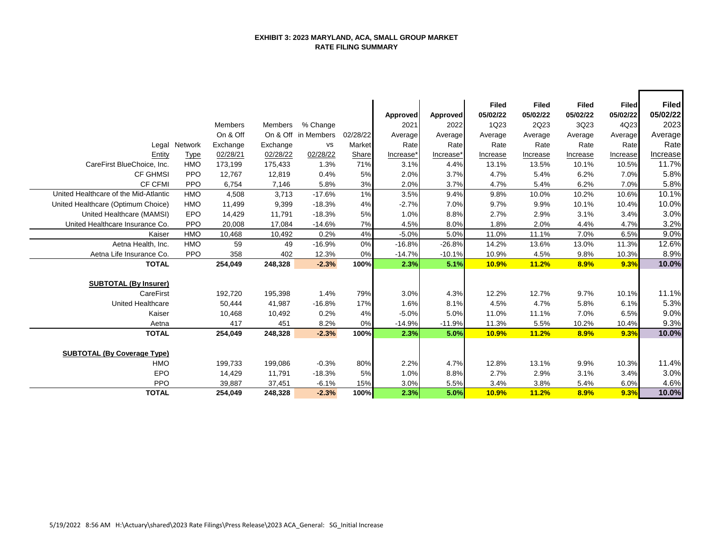## **EXHIBIT 3: 2023 MARYLAND, ACA, SMALL GROUP MARKET RATE FILING SUMMARY**

 $\overline{\phantom{a}}$ 

┑

|                                       |            |                |          |                     |          | Approved  | Approved  | <b>Filed</b><br>05/02/22 | <b>Filed</b><br>05/02/22 | <b>Filed</b><br>05/02/22 | <b>Filed</b><br>05/02/22 | <b>Filed</b><br>05/02/22 |
|---------------------------------------|------------|----------------|----------|---------------------|----------|-----------|-----------|--------------------------|--------------------------|--------------------------|--------------------------|--------------------------|
|                                       |            | <b>Members</b> | Members  | % Change            |          | 2021      | 2022      | 1Q23                     | 2Q23                     | 3Q23                     | 4Q23                     | 2023                     |
|                                       |            | On & Off       |          | On & Off in Members | 02/28/22 | Average   | Average   | Average                  | Average                  | Average                  | Average                  | Average                  |
| Legal                                 | Network    | Exchange       | Exchange | <b>VS</b>           | Market   | Rate      | Rate      | Rate                     | Rate                     | Rate                     | Rate                     | Rate                     |
| Entity                                | Type       | 02/28/21       | 02/28/22 | 02/28/22            | Share    | Increase* | Increase* | Increase                 | Increase                 | Increase                 | Increase                 | <b>Increase</b>          |
| CareFirst BlueChoice, Inc.            | <b>HMO</b> | 173,199        | 175,433  | 1.3%                | 71%      | 3.1%      | 4.4%      | 13.1%                    | 13.5%                    | 10.1%                    | 10.5%                    | 11.7%                    |
| <b>CF GHMSI</b>                       | <b>PPO</b> | 12,767         | 12,819   | 0.4%                | 5%       | 2.0%      | 3.7%      | 4.7%                     | 5.4%                     | 6.2%                     | 7.0%                     | 5.8%                     |
| <b>CF CFMI</b>                        | <b>PPO</b> | 6,754          | 7,146    | 5.8%                | 3%       | 2.0%      | 3.7%      | 4.7%                     | 5.4%                     | 6.2%                     | 7.0%                     | 5.8%                     |
| United Healthcare of the Mid-Atlantic | <b>HMO</b> | 4,508          | 3,713    | $-17.6%$            | 1%       | 3.5%      | 9.4%      | 9.8%                     | 10.0%                    | 10.2%                    | 10.6%                    | 10.1%                    |
| United Healthcare (Optimum Choice)    | <b>HMO</b> | 11,499         | 9,399    | $-18.3%$            | 4%       | $-2.7%$   | 7.0%      | 9.7%                     | 9.9%                     | 10.1%                    | 10.4%                    | 10.0%                    |
| United Healthcare (MAMSI)             | EPO        | 14,429         | 11,791   | $-18.3%$            | 5%       | 1.0%      | 8.8%      | 2.7%                     | 2.9%                     | 3.1%                     | 3.4%                     | 3.0%                     |
| United Healthcare Insurance Co.       | PPO        | 20,008         | 17,084   | $-14.6%$            | 7%       | 4.5%      | 8.0%      | 1.8%                     | 2.0%                     | 4.4%                     | 4.7%                     | 3.2%                     |
| Kaiser                                | <b>HMO</b> | 10,468         | 10,492   | 0.2%                | 4%       | $-5.0%$   | 5.0%      | 11.0%                    | 11.1%                    | 7.0%                     | 6.5%                     | 9.0%                     |
| Aetna Health, Inc.                    | <b>HMO</b> | 59             | 49       | $-16.9%$            | 0%       | $-16.8%$  | $-26.8%$  | 14.2%                    | 13.6%                    | 13.0%                    | 11.3%                    | 12.6%                    |
| Aetna Life Insurance Co.              | <b>PPO</b> | 358            | 402      | 12.3%               | 0%       | $-14.7%$  | $-10.1%$  | 10.9%                    | 4.5%                     | 9.8%                     | 10.3%                    | 8.9%                     |
| <b>TOTAL</b>                          |            | 254,049        | 248,328  | $-2.3%$             | 100%     | 2.3%      | 5.1%      | 10.9%                    | 11.2%                    | 8.9%                     | 9.3%                     | 10.0%                    |
| <b>SUBTOTAL (By Insurer)</b>          |            |                |          |                     |          |           |           |                          |                          |                          |                          |                          |
| CareFirst                             |            | 192,720        | 195,398  | 1.4%                | 79%      | 3.0%      | 4.3%      | 12.2%                    | 12.7%                    | 9.7%                     | 10.1%                    | 11.1%                    |
| <b>United Healthcare</b>              |            | 50,444         | 41,987   | $-16.8%$            | 17%      | 1.6%      | 8.1%      | 4.5%                     | 4.7%                     | 5.8%                     | 6.1%                     | 5.3%                     |
| Kaiser                                |            | 10,468         | 10,492   | 0.2%                | 4%       | $-5.0%$   | 5.0%      | 11.0%                    | 11.1%                    | 7.0%                     | 6.5%                     | 9.0%                     |
| Aetna                                 |            | 417            | 451      | 8.2%                | 0%       | $-14.9%$  | $-11.9%$  | 11.3%                    | 5.5%                     | 10.2%                    | 10.4%                    | 9.3%                     |
| <b>TOTAL</b>                          |            | 254,049        | 248,328  | $-2.3%$             | 100%     | 2.3%      | 5.0%      | 10.9%                    | 11.2%                    | 8.9%                     | 9.3%                     | 10.0%                    |
|                                       |            |                |          |                     |          |           |           |                          |                          |                          |                          |                          |
| <b>SUBTOTAL (By Coverage Type)</b>    |            |                |          |                     |          |           |           |                          |                          |                          |                          |                          |
| <b>HMO</b>                            |            | 199,733        | 199,086  | $-0.3%$             | 80%      | 2.2%      | 4.7%      | 12.8%                    | 13.1%                    | 9.9%                     | 10.3%                    | 11.4%                    |
| <b>EPO</b>                            |            | 14,429         | 11,791   | $-18.3%$            | 5%       | 1.0%      | 8.8%      | 2.7%                     | 2.9%                     | 3.1%                     | 3.4%                     | 3.0%                     |
| <b>PPO</b>                            |            | 39,887         | 37,451   | $-6.1%$             | 15%      | 3.0%      | 5.5%      | 3.4%                     | 3.8%                     | 5.4%                     | 6.0%                     | 4.6%                     |
| <b>TOTAL</b>                          |            | 254,049        | 248,328  | $-2.3%$             | 100%     | 2.3%      | 5.0%      | 10.9%                    | 11.2%                    | 8.9%                     | 9.3%                     | 10.0%                    |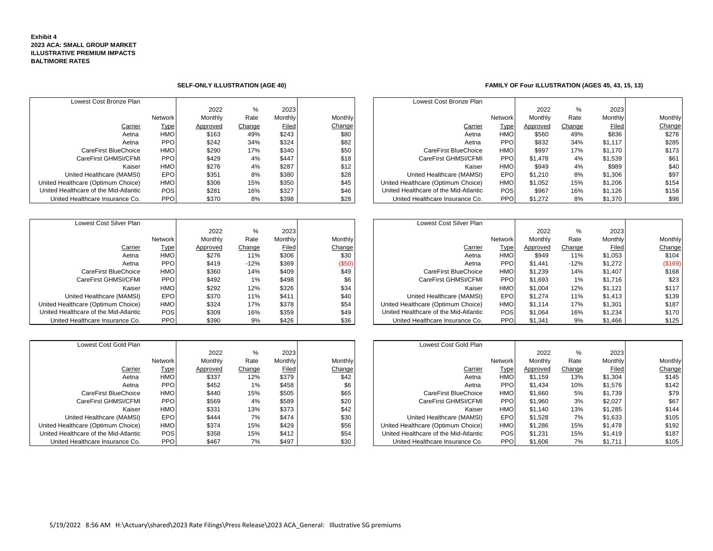### **Exhibit 4 2023 ACA: SMALL GROUP MARKET ILLUSTRATIVE PREMIUM IMPACTS BALTIMORE RATES**

| Lowest Cost Bronze Plan               |            |          |        |         |         | Lowest Cost Bronze Plan               |                |          |        |              |        |
|---------------------------------------|------------|----------|--------|---------|---------|---------------------------------------|----------------|----------|--------|--------------|--------|
|                                       |            | 2022     |        | 2023    |         |                                       |                | 2022     | %      | 2023         |        |
|                                       | Network    | Monthly  | Rate   | Monthly | Monthly |                                       | <b>Network</b> | Monthly  | Rate   | Monthly      | Monthl |
| Carrier                               | Type       | Approved | Change | Filed   | Change  | Carrier                               | <b>Type</b>    | Approved | Change | <b>Filed</b> | Chang  |
| Aetna                                 | HMO        | \$163    | 49%    | \$243   | \$80    | Aetna                                 | <b>HMO</b>     | \$560    | 49%    | \$836        | \$276  |
| Aetna                                 | PPO        | \$242    | 34%    | \$324   | \$82    | Aetna                                 | <b>PPO</b>     | \$832    | 34%    | \$1.117      | \$285  |
| CareFirst BlueChoice                  | HMO        | \$290    | 17%    | \$340   | \$50    | CareFirst BlueChoice                  | <b>HMO</b>     | \$997    | 17%    | \$1.170      | \$173  |
| CareFirst GHMSI/CFMI                  | <b>PPO</b> | \$429    | 4%     | \$447   | \$18    | CareFirst GHMSI/CFMI                  | <b>PPO</b>     | \$1.478  | 4%     | \$1,539      | \$61   |
| Kaiser                                | <b>HMO</b> | \$276    | 4%     | \$287   | \$12    | Kaiser                                | <b>HMO</b>     | \$949    | 4%     | \$989        | \$40   |
| United Healthcare (MAMSI)             | <b>EPO</b> | \$351    | 8%     | \$380   | \$28    | United Healthcare (MAMSI)             | EPO            | \$1.210  | 8%     | \$1.306      | \$97   |
| United Healthcare (Optimum Choice)    | <b>HMO</b> | \$306    | 15%    | \$350   | \$45    | United Healthcare (Optimum Choice)    | <b>HMO</b>     | \$1.052  | 15%    | \$1,206      | \$154  |
| United Healthcare of the Mid-Atlantic | POS        | \$281    | 16%    | \$327   | \$46    | United Healthcare of the Mid-Atlantic | <b>POS</b>     | \$967    | 16%    | \$1,126      | \$158  |
| United Healthcare Insurance Co.       | PPO        | \$370    | 8%     | \$398   | \$28    | United Healthcare Insurance Co.       | <b>PPO</b>     | \$1,272  | 8%     | \$1,370      | \$98   |

| Lowest Cost Silver Plan               |                |          |        |              |         | Lowest Cost Silver Plan               |                 |          |        |         |        |
|---------------------------------------|----------------|----------|--------|--------------|---------|---------------------------------------|-----------------|----------|--------|---------|--------|
|                                       |                | 2022     | %      | 2023         |         |                                       |                 | 2022     | %      | 2023    |        |
|                                       | <b>Network</b> | Monthly  | Rate   | Monthly      | Monthly |                                       | Network         | Monthly  | Rate   | Monthly | Monthl |
| Carrier                               | <u>Type</u>    | Approved | Change | <b>Filed</b> | Change  | Carrier                               | Type            | Approved | Change | Filed   | Chang  |
| Aetna                                 | <b>HMO</b>     | \$276    | 11%    | \$306        | \$30    | Aetna                                 | <b>HMO</b>      | \$949    | 11%    | \$1,053 | \$104  |
| Aetna                                 | <b>PPO</b>     | \$419    | $-12%$ | \$369        | (\$50)  | Aetna                                 | PPO <sub></sub> | \$1.441  | $-12%$ | \$1,272 | (\$169 |
| CareFirst BlueChoice                  | <b>HMO</b>     | \$360    | 14%    | \$409        | \$49    | CareFirst BlueChoice                  | <b>HMO</b>      | \$1.239  | 14%    | \$1.407 | \$168  |
| CareFirst GHMSI/CFMI                  | <b>PPO</b>     | \$492    | $1\%$  | \$498        | \$6     | CareFirst GHMSI/CFMI                  | PPO <sub></sub> | \$1,693  | 1%     | \$1,716 | \$23   |
| Kaiser                                | <b>HMO</b>     | \$292    | 12%    | \$326        | \$34    | Kaiser                                | <b>HMO</b>      | \$1,004  | 12%    | \$1.121 | \$117  |
| United Healthcare (MAMSI)             | <b>EPO</b>     | \$370    | 11%    | \$411        | \$40    | United Healthcare (MAMSI)             | <b>EPO</b>      | \$1.274  | 11%    | \$1,413 | \$139  |
| United Healthcare (Optimum Choice)    | <b>HMO</b>     | \$324    | 17%    | \$378        | \$54    | United Healthcare (Optimum Choice)    | <b>HMO</b>      | \$1.114  | 17%    | \$1,301 | \$187  |
| United Healthcare of the Mid-Atlantic | <b>POS</b>     | \$309    | 16%    | \$359        | \$49    | United Healthcare of the Mid-Atlantic | <b>POS</b>      | \$1,064  | 16%    | \$1.234 | \$170  |
| United Healthcare Insurance Co.       | <b>PPO</b>     | \$390    | 9%     | \$426        | \$36    | United Healthcare Insurance Co.       | <b>PPO</b>      | \$1,341  | 9%     | \$1,466 | \$125  |

| Lowest Cost Silver Plan       |             |          |        |         |         | Lowest Cost Silver Plan               |                |          |        |         |               |
|-------------------------------|-------------|----------|--------|---------|---------|---------------------------------------|----------------|----------|--------|---------|---------------|
|                               |             | 2022     | %      | 2023    |         |                                       |                | 2022     | %      | 2023    |               |
|                               | Network     | Monthly  | Rate   | Monthly | Monthly |                                       | <b>Network</b> | Monthly  | Rate   | Monthly | Monthly       |
| Carrier                       | <b>Type</b> | Approved | Change | Filed   | Change  | <b>Carrier</b>                        | Type           | Approved | Change | Filed   | <b>Change</b> |
| Aetna                         | <b>HMO</b>  | \$276    | 11%    | \$306   | \$30    | Aetna                                 | <b>HMO</b>     | \$949    | 11%    | \$1,053 | \$104         |
| Aetna                         | <b>PPO</b>  | \$419    | $-12%$ | \$369   | (\$50)  | Aetna                                 | <b>PPO</b>     | \$1.441  | $-12%$ | \$1,272 | (\$169)       |
| CareFirst BlueChoice          | <b>HMO</b>  | \$360    | 14%    | \$409   | \$49    | CareFirst BlueChoice                  | <b>HMO</b>     | \$1,239  | 14%    | \$1,407 | \$168         |
| CareFirst GHMSI/CFMI          | <b>PPO</b>  | \$492    | 1%     | \$498   | \$6     | CareFirst GHMSI/CFMI                  | <b>PPO</b>     | \$1,693  | 1%     | \$1,716 | \$23          |
| Kaiser                        | <b>HMO</b>  | \$292    | 12%    | \$326   | \$34    | Kaiser                                | <b>HMO</b>     | \$1,004  | 12%    | \$1,121 | \$117         |
| United Healthcare (MAMSI)     | <b>EPO</b>  | \$370    | 11%    | \$411   | \$40    | United Healthcare (MAMSI)             | <b>EPO</b>     | \$1,274  | 11%    | \$1,413 | \$139         |
| althcare (Optimum Choice)     | <b>HMO</b>  | \$324    | 17%    | \$378   | \$54    | United Healthcare (Optimum Choice)    | <b>HMO</b>     | \$1,114  | 17%    | \$1,301 | \$187         |
| ealthcare of the Mid-Atlantic | <b>POS</b>  | \$309    | 16%    | \$359   | \$49    | United Healthcare of the Mid-Atlantic | <b>POS</b>     | \$1,064  | 16%    | \$1,234 | \$170         |

| Lowest Cost Gold Plan                 |                |          |        |              |               | Lowest Cost Gold Plan                 |            |          |        |         |        |
|---------------------------------------|----------------|----------|--------|--------------|---------------|---------------------------------------|------------|----------|--------|---------|--------|
|                                       |                | 2022     | %      | 2023         |               |                                       |            | 2022     | %      | 2023    |        |
|                                       | <b>Network</b> | Monthly  | Rate   | Monthly      | Monthly       |                                       | Network    | Monthly  | Rate   | Monthly | Monthl |
| Carrier                               | <u>Type</u>    | Approved | Change | <b>Filed</b> | <b>Change</b> | Carrier                               | Type       | Approved | Change | Filed   | Chang  |
| Aetna                                 | <b>HMO</b>     | \$337    | 12%    | \$379        | \$42          | Aetna                                 | <b>HMO</b> | \$1.159  | 13%    | \$1,304 | \$145  |
| Aetna                                 | <b>PPO</b>     | \$452    | 1%     | \$458        | \$6           | Aetna                                 | <b>PPO</b> | \$1,434  | 10%    | \$1,576 | \$142  |
| CareFirst BlueChoice                  | <b>HMO</b>     | \$440    | 15%    | \$505        | \$65          | CareFirst BlueChoice                  | <b>HMO</b> | \$1,660  | 5%     | \$1,739 | \$79   |
| CareFirst GHMSI/CFMI                  | <b>PPO</b>     | \$569    | 4%     | \$589        | \$20          | CareFirst GHMSI/CFMI                  | <b>PPO</b> | \$1,960  | 3%     | \$2,027 | \$67   |
| Kaiser                                | <b>HMO</b>     | \$331    | 13%    | \$373        | \$42          | Kaiser                                | <b>HMO</b> | \$1.140  | 13%    | \$1,285 | \$144  |
| United Healthcare (MAMSI)             | <b>EPO</b>     | \$444    | 7%     | \$474        | \$30          | United Healthcare (MAMSI)             | EPO        | \$1,528  | 7%     | \$1,633 | \$105  |
| United Healthcare (Optimum Choice)    | <b>HMO</b>     | \$374    | 15%    | \$429        | \$56          | United Healthcare (Optimum Choice)    | <b>HMO</b> | \$1,286  | 15%    | \$1,478 | \$192  |
| United Healthcare of the Mid-Atlantic | <b>POS</b>     | \$358    | 15%    | \$412        | \$54          | United Healthcare of the Mid-Atlantic | <b>POS</b> | \$1.231  | 15%    | \$1,419 | \$187  |
| United Healthcare Insurance Co.       | <b>PPO</b>     | \$467    | 7%     | \$497        | \$30          | United Healthcare Insurance Co.       | <b>PPO</b> | \$1,606  | 7%     | \$1.711 | \$105  |

| Lowest Cost Gold Plan             |                  |          |        |              |         | Lowest Cost Gold Plan                 |                |          |        |              |         |
|-----------------------------------|------------------|----------|--------|--------------|---------|---------------------------------------|----------------|----------|--------|--------------|---------|
|                                   |                  | 2022     | %      | 2023         |         |                                       |                | 2022     | %      | 2023         |         |
|                                   | Network          | Monthly  | Rate   | Monthly      | Monthly |                                       | <b>Network</b> | Monthly  | Rate   | Monthly      | Monthly |
| Carrier                           | Type             | Approved | Change | <b>Filed</b> | Change  | <b>Carrier</b>                        | <u>Type</u>    | Approved | Change | <b>Filed</b> | Change  |
| Aetna                             | <b>HMO</b>       | \$337    | 12%    | \$379        | \$42    | Aetna                                 | <b>HMO</b>     | \$1.159  | 13%    | \$1,304      | \$145   |
| Aetna                             | <b>PPO</b>       | \$452    | 1%     | \$458        | \$6     | Aetna                                 | <b>PPO</b>     | \$1.434  | 10%    | \$1,576      | \$142   |
| CareFirst BlueChoice              | <b>HMO</b>       | \$440    | 15%    | \$505        | \$65    | CareFirst BlueChoice                  | <b>HMO</b>     | \$1,660  | 5%     | \$1,739      | \$79    |
| CareFirst GHMSI/CFMI              | <b>PPO</b>       | \$569    | 4%     | \$589        | \$20    | CareFirst GHMSI/CFMI                  | <b>PPO</b>     | \$1,960  | 3%     | \$2,027      | \$67    |
| Kaiser                            | <b>HMO</b>       | \$331    | 13%    | \$373        | \$42    | Kaiser                                | <b>HMO</b>     | \$1.140  | 13%    | \$1,285      | \$144   |
| United Healthcare (MAMSI)         | EPO.             | \$444    | 7%     | \$474        | \$30    | United Healthcare (MAMSI)             | <b>EPO</b>     | \$1,528  | 7%     | \$1,633      | \$105   |
| ed Healthcare (Optimum Choice)    | <b>HMO</b>       | \$374    | 15%    | \$429        | \$56    | United Healthcare (Optimum Choice)    | <b>HMO</b>     | \$1.286  | 15%    | \$1,478      | \$192   |
| ed Healthcare of the Mid-Atlantic | <b>POS</b>       | \$358    | 15%    | \$412        | \$54    | United Healthcare of the Mid-Atlantic | <b>POS</b>     | \$1.231  | 15%    | \$1,419      | \$187   |
| United Healthcare Insurance Co.   | PPO <sub>1</sub> | \$467    | 7%     | \$497        | \$30    | United Healthcare Insurance Co.       | <b>PPO</b>     | \$1,606  | 7%     | \$1,711      | \$105   |

### **SELF-ONLY ILLUSTRATION (AGE 40) FAMILY OF Four ILLUSTRATION (AGES 45, 43, 15, 13)**

| Lowest Cost Bronze Plan       |            |          |        |         |         | Lowest Cost Bronze Plan               |            |          |        |              |                |
|-------------------------------|------------|----------|--------|---------|---------|---------------------------------------|------------|----------|--------|--------------|----------------|
|                               |            | 2022     | %      | 2023    |         |                                       |            | 2022     | %      | 2023         |                |
|                               | Network    | Monthly  | Rate   | Monthly | Monthly |                                       | Network    | Monthly  | Rate   | Monthly      | <b>Monthly</b> |
| Carrier                       | Type       | Approved | Change | Filed   | Change  | Carrier                               | Type       | Approved | Change | <b>Filed</b> | Change         |
| Aetna                         | <b>HMO</b> | \$163    | 49%    | \$243   | \$80    | Aetna                                 | HMO        | \$560    | 49%    | \$836        | \$276          |
| Aetna                         | <b>PPO</b> | \$242    | 34%    | \$324   | \$82    | Aetna                                 | <b>PPO</b> | \$832    | 34%    | \$1,117      | \$285          |
| CareFirst BlueChoice          | <b>HMO</b> | \$290    | 17%    | \$340   | \$50    | CareFirst BlueChoice                  | HMO        | \$997    | 17%    | \$1,170      | \$173          |
| CareFirst GHMSI/CFMI          | <b>PPO</b> | \$429    | 4%     | \$447   | \$18    | CareFirst GHMSI/CFMI                  | <b>PPO</b> | \$1.478  | 4%     | \$1,539      | \$61           |
| Kaiser                        | <b>HMO</b> | \$276    | 4%     | \$287   | \$12    | Kaiser                                | HMO        | \$949    | 4%     | \$989        | \$40           |
| United Healthcare (MAMSI)     | <b>EPO</b> | \$351    | 8%     | \$380   | \$28    | United Healthcare (MAMSI)             | <b>EPO</b> | \$1.210  | 8%     | \$1,306      | \$97           |
| althcare (Optimum Choice)     | <b>HMO</b> | \$306    | 15%    | \$350   | \$45    | United Healthcare (Optimum Choice)    | <b>HMO</b> | \$1.052  | 15%    | \$1,206      | \$154          |
| ealthcare of the Mid-Atlantic | POS        | \$281    | 16%    | \$327   | \$46    | United Healthcare of the Mid-Atlantic | <b>POS</b> | \$967    | 16%    | \$1,126      | \$158          |
| d Healthcare Insurance Co.    | <b>PPO</b> | \$370    | 8%     | \$398   | \$28    | United Healthcare Insurance Co.       | <b>PPO</b> | \$1.272  | 8%     | \$1.370      | \$98           |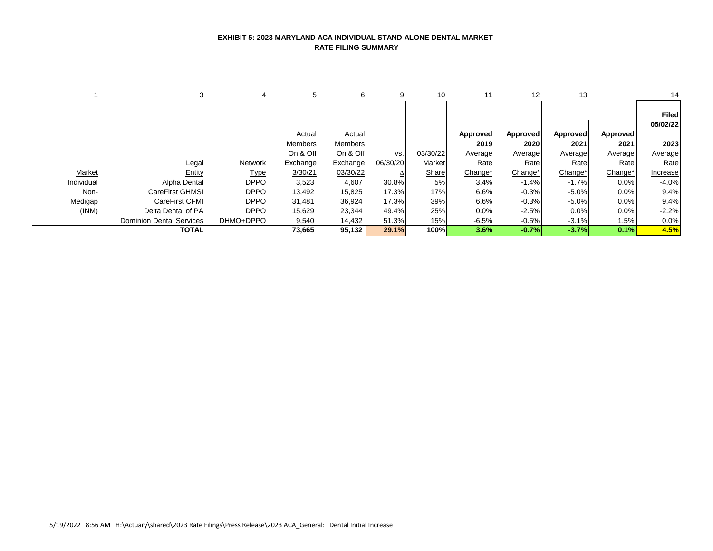### **EXHIBIT 5: 2023 MARYLAND ACA INDIVIDUAL STAND-ALONE DENTAL MARKET RATE FILING SUMMARY**

|            | 3                               | 4           | 5        | 6        | 9        | 10       | 11       | 12              | 13              |                 | 14                       |
|------------|---------------------------------|-------------|----------|----------|----------|----------|----------|-----------------|-----------------|-----------------|--------------------------|
|            |                                 |             |          |          |          |          |          |                 |                 |                 | <b>Filed</b><br>05/02/22 |
|            |                                 |             | Actual   | Actual   |          |          | Approved | <b>Approved</b> | <b>Approved</b> | <b>Approved</b> |                          |
|            |                                 |             | Members  | Members  |          |          | 2019     | 2020            | 2021            | 2021            | 2023                     |
|            |                                 |             | On & Off | On & Off | VS.      | 03/30/22 | Average  | Average         | Average         | Average         | Average                  |
|            | Legal                           | Network     | Exchange | Exchange | 06/30/20 | Market   | Rate     | Rate            | Rate            | Rate            | Rate                     |
| Market     | Entity                          | <u>Type</u> | 3/30/21  | 03/30/22 | ≙        | Share    | Change*  | Change*         | Change*         | Change*         | Increase                 |
| Individual | Alpha Dental                    | <b>DPPO</b> | 3,523    | 4,607    | 30.8%    | 5%       | 3.4%     | $-1.4%$         | $-1.7%$         | 0.0%            | $-4.0%$                  |
| Non-       | CareFirst GHMSI                 | <b>DPPO</b> | 13,492   | 15,825   | 17.3%    | 17%      | 6.6%     | $-0.3%$         | $-5.0%$         | 0.0%            | 9.4%                     |
| Medigap    | CareFirst CFMI                  | <b>DPPO</b> | 31,481   | 36,924   | 17.3%    | 39%      | 6.6%     | $-0.3%$         | $-5.0%$         | 0.0%            | 9.4%                     |
| (INM)      | Delta Dental of PA              | <b>DPPO</b> | 15,629   | 23,344   | 49.4%    | 25%      | 0.0%     | $-2.5%$         | 0.0%            | 0.0%            | $-2.2%$                  |
|            | <b>Dominion Dental Services</b> | DHMO+DPPO   | 9,540    | 14,432   | 51.3%    | 15%      | $-6.5%$  | $-0.5%$         | $-3.1%$         | 1.5%            | 0.0%                     |
|            | <b>TOTAL</b>                    |             | 73,665   | 95,132   | 29.1%    | 100%     | 3.6%     | $-0.7%$         | $-3.7%$         | 0.1%            | 4.5%                     |